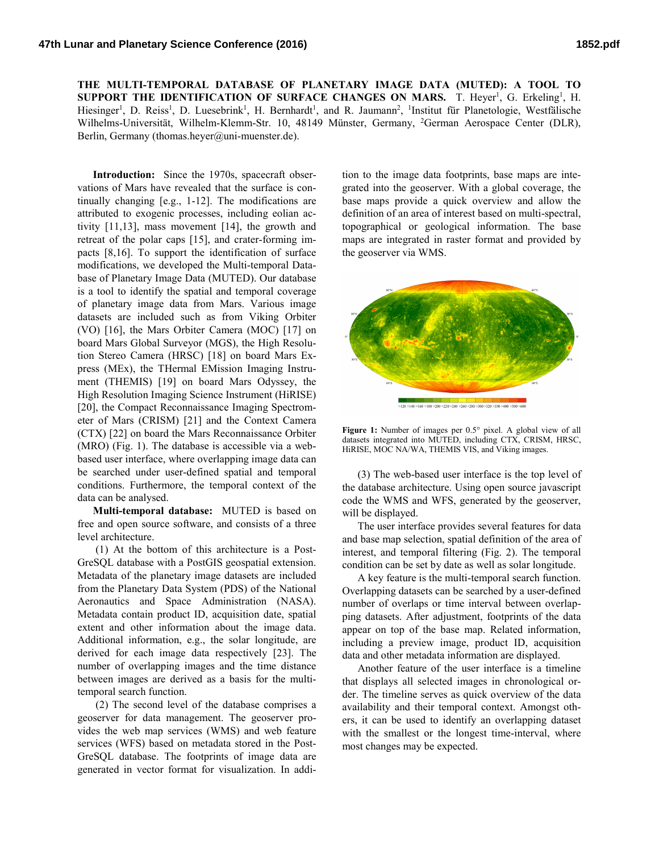**THE MULTI-TEMPORAL DATABASE OF PLANETARY IMAGE DATA (MUTED): A TOOL TO SUPPORT THE IDENTIFICATION OF SURFACE CHANGES ON MARS.** T. Heyer<sup>1</sup>, G. Erkeling<sup>1</sup>, H. Hiesinger<sup>1</sup>, D. Reiss<sup>1</sup>, D. Luesebrink<sup>1</sup>, H. Bernhardt<sup>1</sup>, and R. Jaumann<sup>2</sup>, <sup>1</sup>Institut für Planetologie, Westfälische Wilhelms-Universität, Wilhelm-Klemm-Str. 10, 48149 Münster, Germany, <sup>2</sup>German Aerospace Center (DLR), Berlin, Germany (thomas.heyer@uni-muenster.de).

**Introduction:** Since the 1970s, spacecraft observations of Mars have revealed that the surface is continually changing [e.g., 1-12]. The modifications are attributed to exogenic processes, including eolian activity [11,13], mass movement [14], the growth and retreat of the polar caps [15], and crater-forming impacts [8,16]. To support the identification of surface modifications, we developed the Multi-temporal Database of Planetary Image Data (MUTED). Our database is a tool to identify the spatial and temporal coverage of planetary image data from Mars. Various image datasets are included such as from Viking Orbiter (VO) [16], the Mars Orbiter Camera (MOC) [17] on board Mars Global Surveyor (MGS), the High Resolution Stereo Camera (HRSC) [18] on board Mars Express (MEx), the THermal EMission Imaging Instrument (THEMIS) [19] on board Mars Odyssey, the High Resolution Imaging Science Instrument (HiRISE) [20], the Compact Reconnaissance Imaging Spectrometer of Mars (CRISM) [21] and the Context Camera (CTX) [22] on board the Mars Reconnaissance Orbiter (MRO) (Fig. 1). The database is accessible via a webbased user interface, where overlapping image data can be searched under user-defined spatial and temporal conditions. Furthermore, the temporal context of the data can be analysed.

**Multi-temporal database:** MUTED is based on free and open source software, and consists of a three level architecture.

(1) At the bottom of this architecture is a Post-GreSQL database with a PostGIS geospatial extension. Metadata of the planetary image datasets are included from the Planetary Data System (PDS) of the National Aeronautics and Space Administration (NASA). Metadata contain product ID, acquisition date, spatial extent and other information about the image data. Additional information, e.g., the solar longitude, are derived for each image data respectively [23]. The number of overlapping images and the time distance between images are derived as a basis for the multitemporal search function.

(2) The second level of the database comprises a geoserver for data management. The geoserver provides the web map services (WMS) and web feature services (WFS) based on metadata stored in the Post-GreSQL database. The footprints of image data are generated in vector format for visualization. In addi-

tion to the image data footprints, base maps are integrated into the geoserver. With a global coverage, the base maps provide a quick overview and allow the definition of an area of interest based on multi-spectral, topographical or geological information. The base maps are integrated in raster format and provided by the geoserver via WMS.



**Figure 1:** Number of images per 0.5° pixel. A global view of all datasets integrated into MUTED, including CTX, CRISM, HRSC, HiRISE, MOC NA/WA, THEMIS VIS, and Viking images.

(3) The web-based user interface is the top level of the database architecture. Using open source javascript code the WMS and WFS, generated by the geoserver, will be displayed.

The user interface provides several features for data and base map selection, spatial definition of the area of interest, and temporal filtering (Fig. 2). The temporal condition can be set by date as well as solar longitude.

A key feature is the multi-temporal search function. Overlapping datasets can be searched by a user-defined number of overlaps or time interval between overlapping datasets. After adjustment, footprints of the data appear on top of the base map. Related information, including a preview image, product ID, acquisition data and other metadata information are displayed.

Another feature of the user interface is a timeline that displays all selected images in chronological order. The timeline serves as quick overview of the data availability and their temporal context. Amongst others, it can be used to identify an overlapping dataset with the smallest or the longest time-interval, where most changes may be expected.